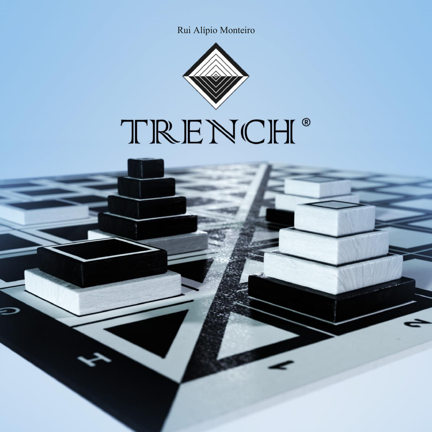Rui Alípio Monteiro



# TRENCH<sup>®</sup>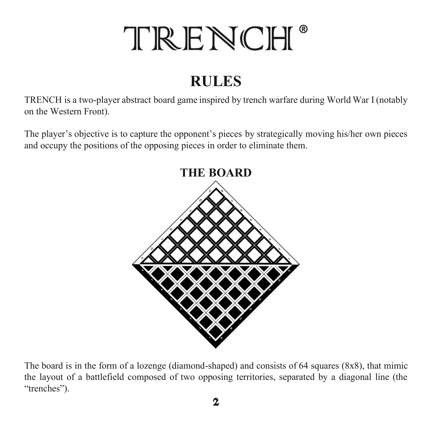## TRENCH<sup>®</sup>

### **RULES**

TRENCH is a two-player abstract board game inspired by trench warfare during World War I (notably on the Western Front).

The player's objective is to capture the opponent's pieces by strategically moving his/her own pieces and occupy the positions of the opposing pieces in order to eliminate them.



The board is in the form of a lozenge (diamond-shaped) and consists of 64 squares (8x8), that mimic the layout of a battlefield composed of two opposing territories, separated by a diagonal line (the "trenches").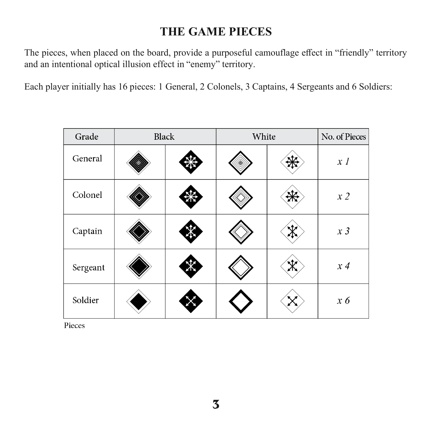#### **THE GAME PIECES**

The pieces, when placed on the board, provide a purposeful camouflage effect in "friendly" territory and an intentional optical illusion effect in "enemy" territory.

Each player initially has 16 pieces: 1 General, 2 Colonels, 3 Captains, 4 Sergeants and 6 Soldiers:

| Grade    | <b>Black</b> |  | White |  | No. of Pieces |
|----------|--------------|--|-------|--|---------------|
| General  |              |  |       |  | x I           |
| Colonel  |              |  |       |  | x2            |
| Captain  |              |  |       |  | $x\,3$        |
| Sergeant |              |  |       |  | $x \, 4$      |
| Soldier  |              |  |       |  | $x \theta$    |

Pieces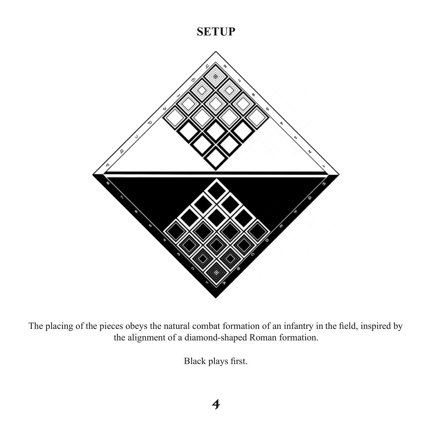#### **SETUP**



The placing of the pieces obeys the natural combat formation of an infantry in the field, inspired by the alignment of a diamond-shaped Roman formation.

Black plays first.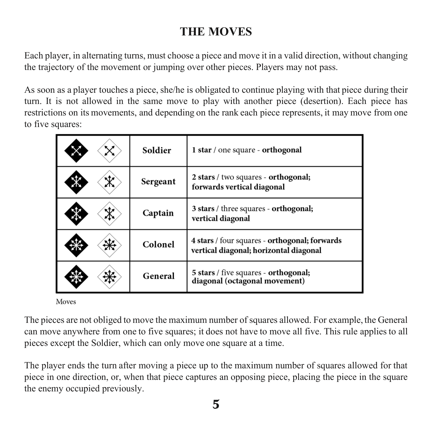#### **THE MOVES**

Each player, in alternating turns, must choose a piece and move it in a valid direction, without changing the trajectory of the movement or jumping over other pieces. Players may not pass.

As soon as a player touches a piece, she/he is obligated to continue playing with that piece during their turn. It is not allowed in the same move to play with another piece (desertion). Each piece has restrictions on its movements, and depending on the rank each piece represents, it may move from one to five squares:

| Soldier  | 1 star / one square - orthogonal                                                        |
|----------|-----------------------------------------------------------------------------------------|
| Sergeant | 2 stars / two squares - orthogonal;<br>forwards vertical diagonal                       |
| Captain  | 3 stars / three squares - orthogonal;<br>vertical diagonal                              |
| Colonel  | 4 stars / four squares - orthogonal; forwards<br>vertical diagonal; horizontal diagonal |
| General  | 5 stars / five squares - orthogonal;<br>diagonal (octagonal movement)                   |

Moves

The pieces are not obliged to move the maximum number of squares allowed. For example, the General can move anywhere from one to five squares; it does not have to move all five. This rule applies to all pieces except the Soldier, which can only move one square at a time.

The player ends the turn after moving a piece up to the maximum number of squares allowed for that piece in one direction, or, when that piece captures an opposing piece, placing the piece in the square the enemy occupied previously.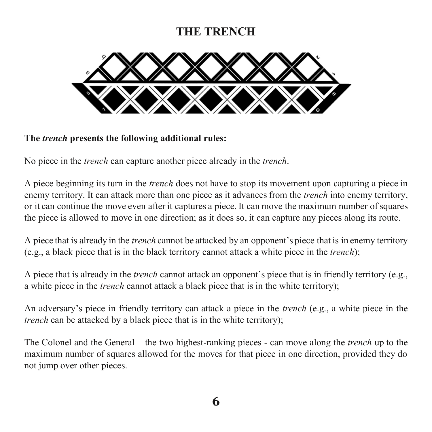#### **THE TRENCH**



**The** *trench* **presents the following additional rules:**

No piece in the *trench* can capture another piece already in the *trench*.

A piece beginning its turn in the *trench* does not have to stop its movement upon capturing a piece in enemy territory. It can attack more than one piece as it advances from the *trench* into enemy territory, or it can continue the move even after it captures a piece. It can move the maximum number of squares the piece is allowed to move in one direction; as it does so, it can capture any pieces along its route.

A piece that is already in the *trench* cannot be attacked by an opponent's piece that is in enemy territory (e.g., a black piece that is in the black territory cannot attack a white piece in the *trench*);

A piece that is already in the *trench* cannot attack an opponent's piece that is in friendly territory (e.g., a white piece in the *trench* cannot attack a black piece that is in the white territory);

An adversary's piece in friendly territory can attack a piece in the *trench* (e.g., a white piece in the *trench* can be attacked by a black piece that is in the white territory);

The Colonel and the General – the two highest-ranking pieces - can move along the *trench* up to the maximum number of squares allowed for the moves for that piece in one direction, provided they do not jump over other pieces.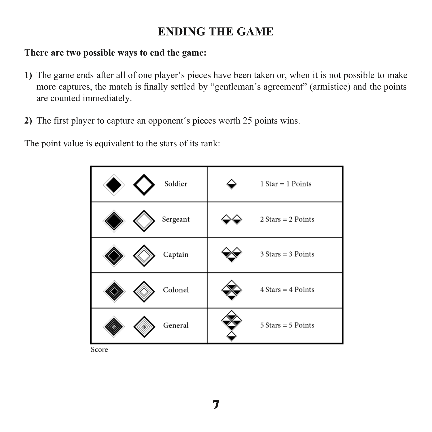#### **ENDING THE GAME**

#### **There are two possible ways to end the game:**

- **1)** The game ends after all of one player's pieces have been taken or, when it is not possible to make more captures, the match is finally settled by "gentleman´s agreement" (armistice) and the points are counted immediately.
- **2)** The first player to capture an opponent´s pieces worth 25 points wins.

The point value is equivalent to the stars of its rank:



Score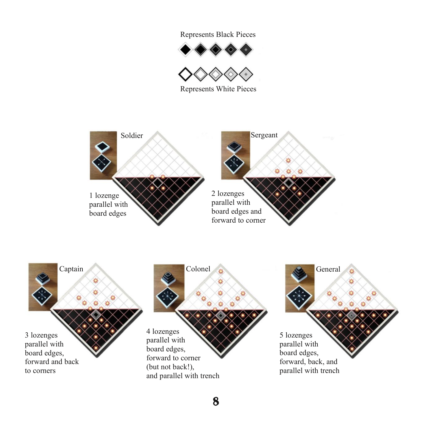Represents Black Pieces





Represents White Pieces



8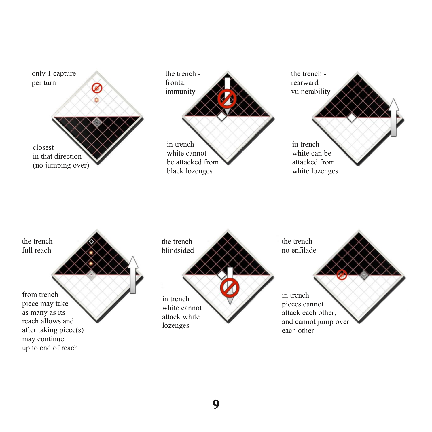

9